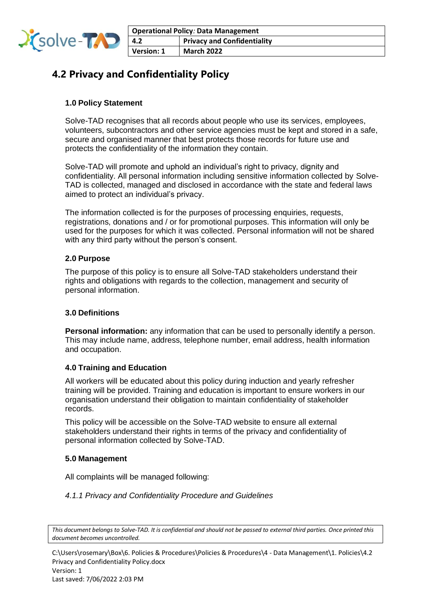

# **4.2 Privacy and Confidentiality Policy**

## **1.0 Policy Statement**

Solve-TAD recognises that all records about people who use its services, employees, volunteers, subcontractors and other service agencies must be kept and stored in a safe, secure and organised manner that best protects those records for future use and protects the confidentiality of the information they contain.

Solve-TAD will promote and uphold an individual's right to privacy, dignity and confidentiality. All personal information including sensitive information collected by Solve-TAD is collected, managed and disclosed in accordance with the state and federal laws aimed to protect an individual's privacy.

The information collected is for the purposes of processing enquiries, requests, registrations, donations and / or for promotional purposes. This information will only be used for the purposes for which it was collected. Personal information will not be shared with any third party without the person's consent.

## **2.0 Purpose**

The purpose of this policy is to ensure all Solve-TAD stakeholders understand their rights and obligations with regards to the collection, management and security of personal information.

## **3.0 Definitions**

**Personal information:** any information that can be used to personally identify a person. This may include name, address, telephone number, email address, health information and occupation.

## **4.0 Training and Education**

All workers will be educated about this policy during induction and yearly refresher training will be provided. Training and education is important to ensure workers in our organisation understand their obligation to maintain confidentiality of stakeholder records.

This policy will be accessible on the Solve-TAD website to ensure all external stakeholders understand their rights in terms of the privacy and confidentiality of personal information collected by Solve-TAD.

## **5.0 Management**

All complaints will be managed following:

## *4.1.1 Privacy and Confidentiality Procedure and Guidelines*

*This document belongs to Solve-TAD. It is confidential and should not be passed to external third parties. Once printed this document becomes uncontrolled.*

C:\Users\rosemary\Box\6. Policies & Procedures\Policies & Procedures\4 - Data Management\1. Policies\4.2 Privacy and Confidentiality Policy.docx Version: 1

Last saved: 7/06/2022 2:03 PM